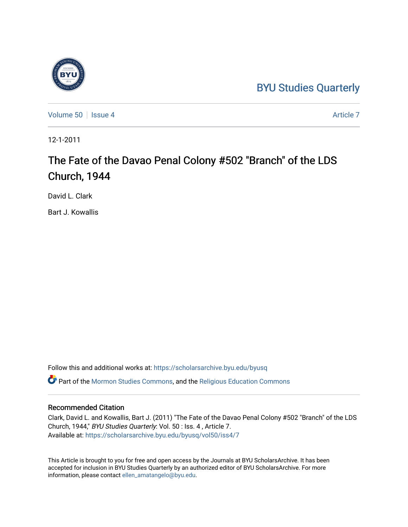## [BYU Studies Quarterly](https://scholarsarchive.byu.edu/byusq)



[Volume 50](https://scholarsarchive.byu.edu/byusq/vol50) | [Issue 4](https://scholarsarchive.byu.edu/byusq/vol50/iss4) [Article 7](https://scholarsarchive.byu.edu/byusq/vol50/iss4/7) Article 7 Article 7 Article 7 Article 7 Article 7 Article 7

12-1-2011

# The Fate of the Davao Penal Colony #502 "Branch" of the LDS Church, 1944

David L. Clark

Bart J. Kowallis

Follow this and additional works at: [https://scholarsarchive.byu.edu/byusq](https://scholarsarchive.byu.edu/byusq?utm_source=scholarsarchive.byu.edu%2Fbyusq%2Fvol50%2Fiss4%2F7&utm_medium=PDF&utm_campaign=PDFCoverPages) 

Part of the [Mormon Studies Commons](http://network.bepress.com/hgg/discipline/1360?utm_source=scholarsarchive.byu.edu%2Fbyusq%2Fvol50%2Fiss4%2F7&utm_medium=PDF&utm_campaign=PDFCoverPages), and the [Religious Education Commons](http://network.bepress.com/hgg/discipline/1414?utm_source=scholarsarchive.byu.edu%2Fbyusq%2Fvol50%2Fiss4%2F7&utm_medium=PDF&utm_campaign=PDFCoverPages) 

## Recommended Citation

Clark, David L. and Kowallis, Bart J. (2011) "The Fate of the Davao Penal Colony #502 "Branch" of the LDS Church, 1944," BYU Studies Quarterly: Vol. 50 : Iss. 4 , Article 7. Available at: [https://scholarsarchive.byu.edu/byusq/vol50/iss4/7](https://scholarsarchive.byu.edu/byusq/vol50/iss4/7?utm_source=scholarsarchive.byu.edu%2Fbyusq%2Fvol50%2Fiss4%2F7&utm_medium=PDF&utm_campaign=PDFCoverPages)

This Article is brought to you for free and open access by the Journals at BYU ScholarsArchive. It has been accepted for inclusion in BYU Studies Quarterly by an authorized editor of BYU ScholarsArchive. For more information, please contact [ellen\\_amatangelo@byu.edu.](mailto:ellen_amatangelo@byu.edu)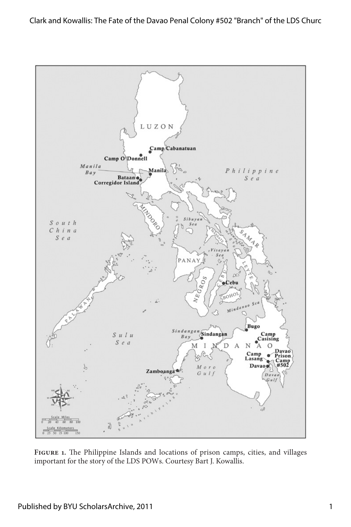

**Figure 1.** The Philippine Islands and locations of prison camps, cities, and villages important for the story of the LDS POWs. Courtesy Bart J. Kowallis.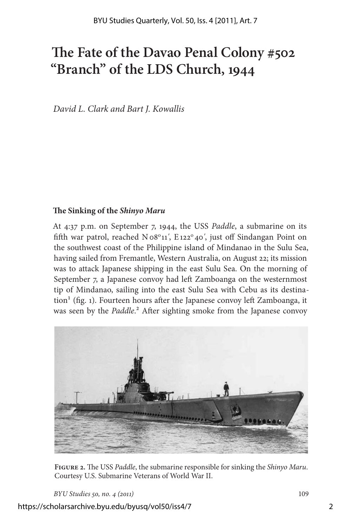## **The Fate of the Davao Penal Colony #502 "Branch" of the LDS Church, 1944**

*David L. Clark and Bart J. Kowallis*

### **The Sinking of the** *Shinyo Maru*

At 4:37 p.m. on September 7, 1944, the USS *Paddle*, a submarine on its fifth war patrol, reached N08°11', E122°40', just off Sindangan Point on the southwest coast of the Philippine island of Mindanao in the Sulu Sea, having sailed from Fremantle, Western Australia, on August 22; its mission was to attack Japanese shipping in the east Sulu Sea. On the morning of September 7, a Japanese convoy had left Zamboanga on the westernmost tip of Mindanao, sailing into the east Sulu Sea with Cebu as its destina- $\chi$  tion<sup>1</sup> (fig. 1). Fourteen hours after the Japanese convoy left Zamboanga, it was seen by the *Paddle*.<sup>2</sup> After sighting smoke from the Japanese convoy



**Figure 2.** The USS *Paddle*, the submarine responsible for sinking the *Shinyo Maru*. Courtesy U.S. Submarine Veterans of World War II.

*BYU Studies 50, no. 4 (2011)* 109

https://scholarsarchive.byu.edu/byusq/vol50/iss4/7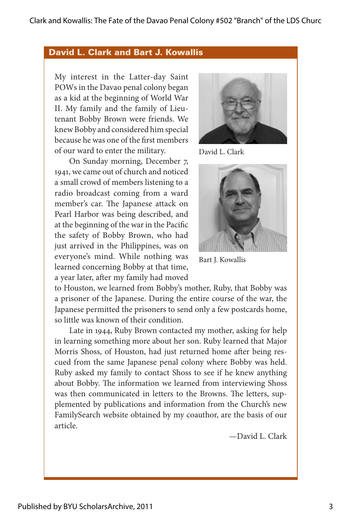## David L. Clark and Bart J. Kowallis

My interest in the Latter-day Saint POWs in the Davao penal colony began as a kid at the beginning of World War II. My family and the family of Lieutenant Bobby Brown were friends. We knew Bobby and considered him special because he was one of the first members of our ward to enter the military.

On Sunday morning, December 7, 1941, we came out of church and noticed a small crowd of members listening to a radio broadcast coming from a ward member's car. The Japanese attack on Pearl Harbor was being described, and at the beginning of the war in the Pacific the safety of Bobby Brown, who had just arrived in the Philippines, was on everyone's mind. While nothing was learned concerning Bobby at that time, a year later, after my family had moved



David L. Clark



Bart J. Kowallis

to Houston, we learned from Bobby's mother, Ruby, that Bobby was a prisoner of the Japanese. During the entire course of the war, the Japanese permitted the prisoners to send only a few postcards home, so little was known of their condition.

Late in 1944, Ruby Brown contacted my mother, asking for help in learning something more about her son. Ruby learned that Major Morris Shoss, of Houston, had just returned home after being rescued from the same Japanese penal colony where Bobby was held. Ruby asked my family to contact Shoss to see if he knew anything about Bobby. The information we learned from interviewing Shoss was then communicated in letters to the Browns. The letters, supplemented by publications and information from the Church's new FamilySearch website obtained by my coauthor, are the basis of our article.

—David L. Clark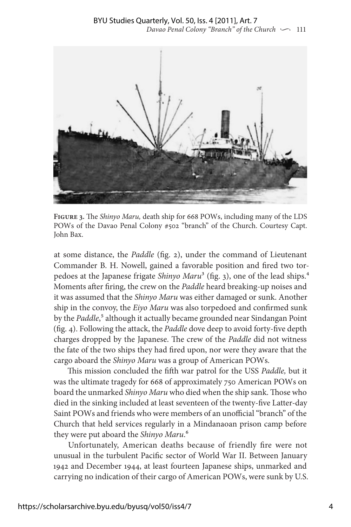

**Figure 3.** The *Shinyo Maru,* death ship for 668 POWs, including many of the LDS POWs of the Davao Penal Colony #502 "branch" of the Church. Courtesy Capt. John Bax.

at some distance, the *Paddle* (fig. 2), under the command of Lieutenant Commander B. H. Nowell, gained a favorable position and fired two torpedoes at the Japanese frigate *Shinyo Maru*3 (fig. 3), one of the lead ships.4 Moments after firing, the crew on the *Paddle* heard breaking-up noises and it was assumed that the *Shinyo Maru* was either damaged or sunk. Another ship in the convoy, the *Eiyo Maru* was also torpedoed and confirmed sunk by the *Paddle*,<sup>5</sup> although it actually became grounded near Sindangan Point (fig. 4). Following the attack, the *Paddle* dove deep to avoid forty-five depth charges dropped by the Japanese. The crew of the *Paddle* did not witness the fate of the two ships they had fired upon, nor were they aware that the cargo aboard the *Shinyo Maru* was a group of American POWs.

This mission concluded the fifth war patrol for the USS *Paddle,* but it was the ultimate tragedy for 668 of approximately 750 American POWs on board the unmarked *Shinyo Maru* who died when the ship sank. Those who died in the sinking included at least seventeen of the twenty-five Latter-day Saint POWs and friends who were members of an unofficial "branch" of the Church that held services regularly in a Mindanaoan prison camp before they were put aboard the *Shinyo Maru*.6

Unfortunately, American deaths because of friendly fire were not unusual in the turbulent Pacific sector of World War II. Between January 1942 and December 1944, at least fourteen Japanese ships, unmarked and carrying no indication of their cargo of American POWs, were sunk by U.S.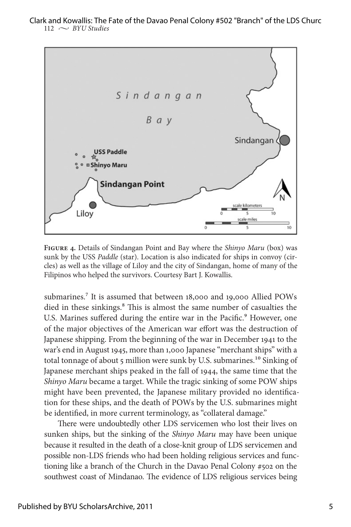

**Figure 4.** Details of Sindangan Point and Bay where the *Shinyo Maru* (box) was sunk by the USS *Paddle* (star). Location is also indicated for ships in convoy (circles) as well as the village of Liloy and the city of Sindangan, home of many of the Filipinos who helped the survivors. Courtesy Bart J. Kowallis.

submarines.<sup>7</sup> It is assumed that between 18,000 and 19,000 Allied POWs died in these sinkings.<sup>8</sup> This is almost the same number of casualties the U.S. Marines suffered during the entire war in the Pacific.<sup>9</sup> However, one of the major objectives of the American war effort was the destruction of Japanese shipping. From the beginning of the war in December 1941 to the war's end in August 1945, more than 1,000 Japanese "merchant ships" with a total tonnage of about 5 million were sunk by U.S. submarines.<sup>10</sup> Sinking of Japanese merchant ships peaked in the fall of 1944, the same time that the *Shinyo Maru* became a target. While the tragic sinking of some POW ships might have been prevented, the Japanese military provided no identification for these ships, and the death of POWs by the U.S. submarines might be identified, in more current terminology, as "collateral damage."

There were undoubtedly other LDS servicemen who lost their lives on sunken ships, but the sinking of the *Shinyo Maru* may have been unique because it resulted in the death of a close-knit group of LDS servicemen and possible non-LDS friends who had been holding religious services and functioning like a branch of the Church in the Davao Penal Colony #502 on the southwest coast of Mindanao. The evidence of LDS religious services being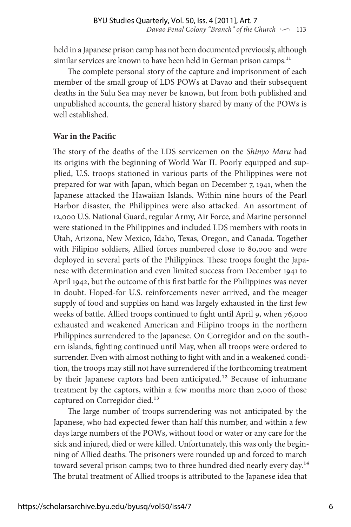held in a Japanese prison camp has not been documented previously, although similar services are known to have been held in German prison camps.<sup>11</sup>

The complete personal story of the capture and imprisonment of each member of the small group of LDS POWs at Davao and their subsequent deaths in the Sulu Sea may never be known, but from both published and unpublished accounts, the general history shared by many of the POWs is well established.

## **War in the Pacific**

The story of the deaths of the LDS servicemen on the *Shinyo Maru* had its origins with the beginning of World War II. Poorly equipped and supplied, U.S. troops stationed in various parts of the Philippines were not prepared for war with Japan, which began on December 7, 1941, when the Japanese attacked the Hawaiian Islands. Within nine hours of the Pearl Harbor disaster, the Philippines were also attacked. An assortment of 12,000 U.S. National Guard, regular Army, Air Force, and Marine personnel were stationed in the Philippines and included LDS members with roots in Utah, Arizona, New Mexico, Idaho, Texas, Oregon, and Canada. Together with Filipino soldiers, Allied forces numbered close to 80,000 and were deployed in several parts of the Philippines. These troops fought the Japanese with determination and even limited success from December 1941 to April 1942, but the outcome of this first battle for the Philippines was never in doubt. Hoped-for U.S. reinforcements never arrived, and the meager supply of food and supplies on hand was largely exhausted in the first few weeks of battle. Allied troops continued to fight until April 9, when 76,000 exhausted and weakened American and Filipino troops in the northern Philippines surrendered to the Japanese. On Corregidor and on the southern islands, fighting continued until May, when all troops were ordered to surrender. Even with almost nothing to fight with and in a weakened condition, the troops may still not have surrendered if the forthcoming treatment by their Japanese captors had been anticipated.<sup>12</sup> Because of inhumane treatment by the captors, within a few months more than 2,000 of those captured on Corregidor died.<sup>13</sup>

The large number of troops surrendering was not anticipated by the Japanese, who had expected fewer than half this number, and within a few days large numbers of the POWs, without food or water or any care for the sick and injured, died or were killed. Unfortunately, this was only the beginning of Allied deaths. The prisoners were rounded up and forced to march toward several prison camps; two to three hundred died nearly every day.<sup>14</sup> The brutal treatment of Allied troops is attributed to the Japanese idea that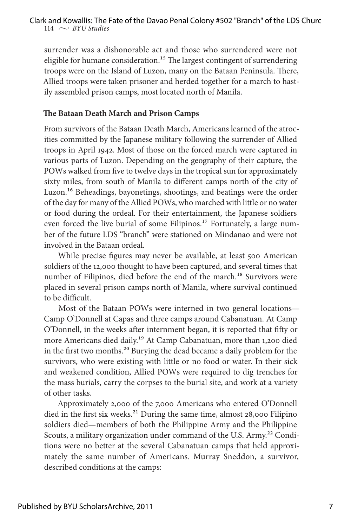surrender was a dishonorable act and those who surrendered were not eligible for humane consideration.<sup>15</sup> The largest contingent of surrendering troops were on the Island of Luzon, many on the Bataan Peninsula. There, Allied troops were taken prisoner and herded together for a march to hastily assembled prison camps, most located north of Manila.

### **The Bataan Death March and Prison Camps**

From survivors of the Bataan Death March, Americans learned of the atrocities committed by the Japanese military following the surrender of Allied troops in April 1942. Most of those on the forced march were captured in various parts of Luzon. Depending on the geography of their capture, the POWs walked from five to twelve days in the tropical sun for approximately sixty miles, from south of Manila to different camps north of the city of Luzon.<sup>16</sup> Beheadings, bayonetings, shootings, and beatings were the order of the day for many of the Allied POWs, who marched with little or no water or food during the ordeal. For their entertainment, the Japanese soldiers even forced the live burial of some Filipinos.<sup>17</sup> Fortunately, a large number of the future LDS "branch" were stationed on Mindanao and were not involved in the Bataan ordeal.

While precise figures may never be available, at least 500 American soldiers of the 12,000 thought to have been captured, and several times that number of Filipinos, died before the end of the march.<sup>18</sup> Survivors were placed in several prison camps north of Manila, where survival continued to be difficult.

Most of the Bataan POWs were interned in two general locations— Camp O'Donnell at Capas and three camps around Cabanatuan. At Camp O'Donnell, in the weeks after internment began, it is reported that fifty or more Americans died daily.19 At Camp Cabanatuan, more than 1,200 died in the first two months.<sup>20</sup> Burying the dead became a daily problem for the survivors, who were existing with little or no food or water. In their sick and weakened condition, Allied POWs were required to dig trenches for the mass burials, carry the corpses to the burial site, and work at a variety of other tasks.

Approximately 2,000 of the 7,000 Americans who entered O'Donnell died in the first six weeks.<sup>21</sup> During the same time, almost 28,000 Filipino soldiers died—members of both the Philippine Army and the Philippine Scouts, a military organization under command of the U.S. Army.<sup>22</sup> Conditions were no better at the several Cabanatuan camps that held approximately the same number of Americans. Murray Sneddon, a survivor, described conditions at the camps: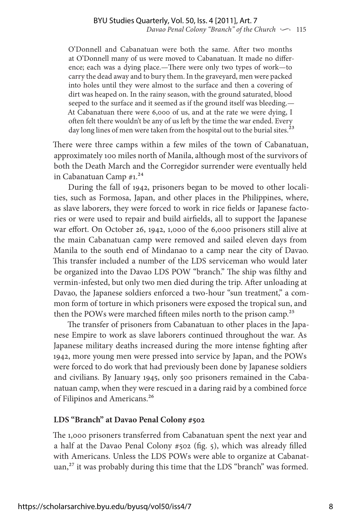O'Donnell and Cabanatuan were both the same. After two months at O'Donnell many of us were moved to Cabanatuan. It made no difference; each was a dying place.—There were only two types of work—to carry the dead away and to bury them. In the graveyard, men were packed into holes until they were almost to the surface and then a covering of dirt was heaped on. In the rainy season, with the ground saturated, blood seeped to the surface and it seemed as if the ground itself was bleeding.— At Cabanatuan there were 6,000 of us, and at the rate we were dying, I often felt there wouldn't be any of us left by the time the war ended. Every day long lines of men were taken from the hospital out to the burial sites.<sup>23</sup>

There were three camps within a few miles of the town of Cabanatuan, approximately 100 miles north of Manila, although most of the survivors of both the Death March and the Corregidor surrender were eventually held in Cabanatuan Camp  $#1.^{24}$ 

During the fall of 1942, prisoners began to be moved to other localities, such as Formosa, Japan, and other places in the Philippines, where, as slave laborers, they were forced to work in rice fields or Japanese factories or were used to repair and build airfields, all to support the Japanese war effort. On October 26, 1942, 1,000 of the 6,000 prisoners still alive at the main Cabanatuan camp were removed and sailed eleven days from Manila to the south end of Mindanao to a camp near the city of Davao. This transfer included a number of the LDS serviceman who would later be organized into the Davao LDS POW "branch." The ship was filthy and vermin-infested, but only two men died during the trip. After unloading at Davao, the Japanese soldiers enforced a two-hour "sun treatment," a common form of torture in which prisoners were exposed the tropical sun, and then the POWs were marched fifteen miles north to the prison camp.<sup>25</sup>

The transfer of prisoners from Cabanatuan to other places in the Japanese Empire to work as slave laborers continued throughout the war. As Japanese military deaths increased during the more intense fighting after 1942, more young men were pressed into service by Japan, and the POWs were forced to do work that had previously been done by Japanese soldiers and civilians. By January 1945, only 500 prisoners remained in the Cabanatuan camp, when they were rescued in a daring raid by a combined force of Filipinos and Americans.<sup>26</sup>

### **LDS "Branch" at Davao Penal Colony #502**

The 1,000 prisoners transferred from Cabanatuan spent the next year and a half at the Davao Penal Colony #502 (fig. 5), which was already filled with Americans. Unless the LDS POWs were able to organize at Cabanatuan,<sup>27</sup> it was probably during this time that the LDS "branch" was formed.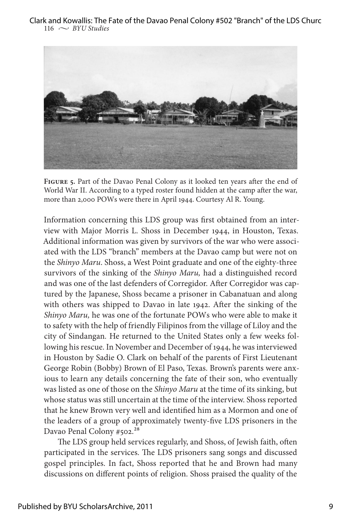

**Figure 5.** Part of the Davao Penal Colony as it looked ten years after the end of World War II. According to a typed roster found hidden at the camp after the war, more than 2,000 POWs were there in April 1944. Courtesy Al R. Young.

Information concerning this LDS group was first obtained from an interview with Major Morris L. Shoss in December 1944, in Houston, Texas. Additional information was given by survivors of the war who were associated with the LDS "branch" members at the Davao camp but were not on the *Shinyo Maru*. Shoss, a West Point graduate and one of the eighty-three survivors of the sinking of the *Shinyo Maru,* had a distinguished record and was one of the last defenders of Corregidor. After Corregidor was captured by the Japanese, Shoss became a prisoner in Cabanatuan and along with others was shipped to Davao in late 1942. After the sinking of the *Shinyo Maru,* he was one of the fortunate POWs who were able to make it to safety with the help of friendly Filipinos from the village of Liloy and the city of Sindangan*.* He returned to the United States only a few weeks following his rescue. In November and December of 1944, he was interviewed in Houston by Sadie O. Clark on behalf of the parents of First Lieutenant George Robin (Bobby) Brown of El Paso, Texas. Brown's parents were anxious to learn any details concerning the fate of their son, who eventually was listed as one of those on the *Shinyo Maru* at the time of its sinking, but whose status was still uncertain at the time of the interview. Shoss reported that he knew Brown very well and identified him as a Mormon and one of the leaders of a group of approximately twenty-five LDS prisoners in the Davao Penal Colony #502.<sup>28</sup>

The LDS group held services regularly, and Shoss, of Jewish faith, often participated in the services. The LDS prisoners sang songs and discussed gospel principles. In fact, Shoss reported that he and Brown had many discussions on different points of religion. Shoss praised the quality of the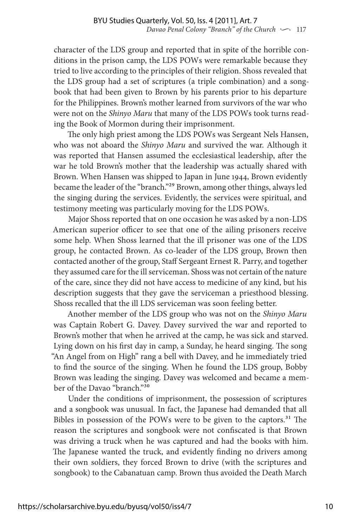character of the LDS group and reported that in spite of the horrible conditions in the prison camp, the LDS POWs were remarkable because they tried to live according to the principles of their religion. Shoss revealed that the LDS group had a set of scriptures (a triple combination) and a songbook that had been given to Brown by his parents prior to his departure for the Philippines. Brown's mother learned from survivors of the war who were not on the *Shinyo Maru* that many of the LDS POWs took turns reading the Book of Mormon during their imprisonment.

The only high priest among the LDS POWs was Sergeant Nels Hansen, who was not aboard the *Shinyo Maru* and survived the war. Although it was reported that Hansen assumed the ecclesiastical leadership, after the war he told Brown's mother that the leadership was actually shared with Brown. When Hansen was shipped to Japan in June 1944, Brown evidently became the leader of the "branch."29 Brown, among other things, always led the singing during the services. Evidently, the services were spiritual, and testimony meeting was particularly moving for the LDS POWs.

Major Shoss reported that on one occasion he was asked by a non-LDS American superior officer to see that one of the ailing prisoners receive some help. When Shoss learned that the ill prisoner was one of the LDS group, he contacted Brown. As co-leader of the LDS group, Brown then contacted another of the group, Staff Sergeant Ernest R. Parry, and together they assumed care for the ill serviceman. Shoss was not certain of the nature of the care, since they did not have access to medicine of any kind, but his description suggests that they gave the serviceman a priesthood blessing. Shoss recalled that the ill LDS serviceman was soon feeling better.

Another member of the LDS group who was not on the *Shinyo Maru* was Captain Robert G. Davey. Davey survived the war and reported to Brown's mother that when he arrived at the camp, he was sick and starved. Lying down on his first day in camp, a Sunday, he heard singing. The song "An Angel from on High" rang a bell with Davey, and he immediately tried to find the source of the singing. When he found the LDS group, Bobby Brown was leading the singing. Davey was welcomed and became a member of the Davao "branch."30

Under the conditions of imprisonment, the possession of scriptures and a songbook was unusual. In fact, the Japanese had demanded that all Bibles in possession of the POWs were to be given to the captors.<sup>31</sup> The reason the scriptures and songbook were not confiscated is that Brown was driving a truck when he was captured and had the books with him. The Japanese wanted the truck, and evidently finding no drivers among their own soldiers, they forced Brown to drive (with the scriptures and songbook) to the Cabanatuan camp. Brown thus avoided the Death March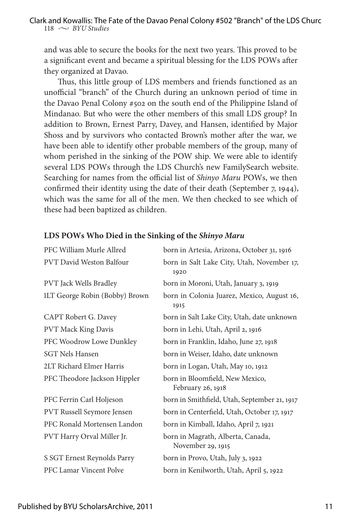and was able to secure the books for the next two years. This proved to be a significant event and became a spiritual blessing for the LDS POWs after they organized at Davao.

Thus, this little group of LDS members and friends functioned as an unofficial "branch" of the Church during an unknown period of time in the Davao Penal Colony #502 on the south end of the Philippine Island of Mindanao. But who were the other members of this small LDS group? In addition to Brown, Ernest Parry, Davey, and Hansen, identified by Major Shoss and by survivors who contacted Brown's mother after the war, we have been able to identify other probable members of the group, many of whom perished in the sinking of the POW ship. We were able to identify several LDS POWs through the LDS Church's new FamilySearch website. Searching for names from the official list of *Shinyo Maru* POWs, we then confirmed their identity using the date of their death (September 7, 1944), which was the same for all of the men. We then checked to see which of these had been baptized as children.

| PFC William Murle Allred          | born in Artesia, Arizona, October 31, 1916             |
|-----------------------------------|--------------------------------------------------------|
| PVT David Weston Balfour          | born in Salt Lake City, Utah, November 17,<br>1920     |
| <b>PVT</b> Jack Wells Bradley     | born in Moroni, Utah, January 3, 1919                  |
| 1LT George Robin (Bobby) Brown    | born in Colonia Juarez, Mexico, August 16,<br>1915     |
| CAPT Robert G. Davey              | born in Salt Lake City, Utah, date unknown             |
| <b>PVT Mack King Davis</b>        | born in Lehi, Utah, April 2, 1916                      |
| PFC Woodrow Lowe Dunkley          | born in Franklin, Idaho, June 27, 1918                 |
| <b>SGT Nels Hansen</b>            | born in Weiser, Idaho, date unknown                    |
| 2LT Richard Elmer Harris          | born in Logan, Utah, May 10, 1912                      |
| PFC Theodore Jackson Hippler      | born in Bloomfield, New Mexico,<br>February 26, 1918   |
| PFC Ferrin Carl Holjeson          | born in Smithfield, Utah, September 21, 1917           |
| <b>PVT Russell Seymore Jensen</b> | born in Centerfield, Utah, October 17, 1917            |
| PFC Ronald Mortensen Landon       | born in Kimball, Idaho, April 7, 1921                  |
| PVT Harry Orval Miller Jr.        | born in Magrath, Alberta, Canada,<br>November 29, 1915 |
| S SGT Ernest Reynolds Parry       | born in Provo, Utah, July 3, 1922                      |
| PFC Lamar Vincent Polve           | born in Kenilworth, Utah, April 5, 1922                |

#### **LDS POWs Who Died in the Sinking of the** *Shinyo Maru*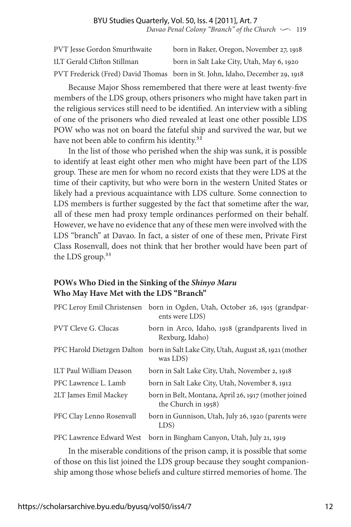| <b>PVT</b> Jesse Gordon Smurthwaite | born in Baker, Oregon, November 27, 1918                                     |
|-------------------------------------|------------------------------------------------------------------------------|
| 1LT Gerald Clifton Stillman         | born in Salt Lake City, Utah, May 6, 1920                                    |
|                                     | PVT Frederick (Fred) David Thomas born in St. John, Idaho, December 29, 1918 |

Because Major Shoss remembered that there were at least twenty-five members of the LDS group, others prisoners who might have taken part in the religious services still need to be identified. An interview with a sibling of one of the prisoners who died revealed at least one other possible LDS POW who was not on board the fateful ship and survived the war, but we have not been able to confirm his identity.<sup>32</sup>

In the list of those who perished when the ship was sunk, it is possible to identify at least eight other men who might have been part of the LDS group. These are men for whom no record exists that they were LDS at the time of their captivity, but who were born in the western United States or likely had a previous acquaintance with LDS culture. Some connection to LDS members is further suggested by the fact that sometime after the war, all of these men had proxy temple ordinances performed on their behalf. However, we have no evidence that any of these men were involved with the LDS "branch" at Davao. In fact, a sister of one of these men, Private First Class Rosenvall, does not think that her brother would have been part of the LDS group.<sup>33</sup>

## **POWs Who Died in the Sinking of the** *Shinyo Maru* **Who May Have Met with the LDS "Branch"**

|                            | PFC Leroy Emil Christensen born in Ogden, Utah, October 26, 1915 (grandpar-<br>ents were LDS) |
|----------------------------|-----------------------------------------------------------------------------------------------|
| <b>PVT Cleve G. Clucas</b> | born in Arco, Idaho, 1918 (grandparents lived in<br>Rexburg, Idaho)                           |
|                            | PFC Harold Dietzgen Dalton born in Salt Lake City, Utah, August 28, 1921 (mother<br>was LDS)  |
| 1LT Paul William Deason    | born in Salt Lake City, Utah, November 2, 1918                                                |
| PFC Lawrence L. Lamb       | born in Salt Lake City, Utah, November 8, 1912                                                |
| 2LT James Emil Mackey      | born in Belt, Montana, April 26, 1917 (mother joined<br>the Church in 1958)                   |
| PFC Clay Lenno Rosenvall   | born in Gunnison, Utah, July 26, 1920 (parents were<br>LDS)                                   |
| PFC Lawrence Edward West   | born in Bingham Canyon, Utah, July 21, 1919                                                   |

In the miserable conditions of the prison camp, it is possible that some of those on this list joined the LDS group because they sought companionship among those whose beliefs and culture stirred memories of home. The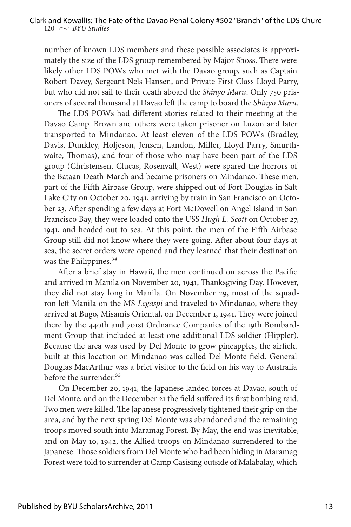number of known LDS members and these possible associates is approximately the size of the LDS group remembered by Major Shoss. There were likely other LDS POWs who met with the Davao group, such as Captain Robert Davey, Sergeant Nels Hansen, and Private First Class Lloyd Parry, but who did not sail to their death aboard the *Shinyo Maru*. Only 750 prisoners of several thousand at Davao left the camp to board the *Shinyo Maru*.

The LDS POWs had different stories related to their meeting at the Davao Camp. Brown and others were taken prisoner on Luzon and later transported to Mindanao. At least eleven of the LDS POWs (Bradley, Davis, Dunkley, Holjeson, Jensen, Landon, Miller, Lloyd Parry, Smurthwaite, Thomas), and four of those who may have been part of the LDS group (Christensen, Clucas, Rosenvall, West) were spared the horrors of the Bataan Death March and became prisoners on Mindanao. These men, part of the Fifth Airbase Group, were shipped out of Fort Douglas in Salt Lake City on October 20, 1941, arriving by train in San Francisco on October 23. After spending a few days at Fort McDowell on Angel Island in San Francisco Bay, they were loaded onto the USS *Hugh L. Scott* on October 27, 1941, and headed out to sea. At this point, the men of the Fifth Airbase Group still did not know where they were going. After about four days at sea, the secret orders were opened and they learned that their destination was the Philippines.<sup>34</sup>

After a brief stay in Hawaii, the men continued on across the Pacific and arrived in Manila on November 20, 1941, Thanksgiving Day. However, they did not stay long in Manila. On November 29, most of the squadron left Manila on the MS *Legaspi* and traveled to Mindanao, where they arrived at Bugo, Misamis Oriental, on December 1, 1941. They were joined there by the 440th and 701st Ordnance Companies of the 19th Bombardment Group that included at least one additional LDS soldier (Hippler). Because the area was used by Del Monte to grow pineapples, the airfield built at this location on Mindanao was called Del Monte field. General Douglas MacArthur was a brief visitor to the field on his way to Australia before the surrender.<sup>35</sup>

On December 20, 1941, the Japanese landed forces at Davao, south of Del Monte, and on the December 21 the field suffered its first bombing raid. Two men were killed. The Japanese progressively tightened their grip on the area, and by the next spring Del Monte was abandoned and the remaining troops moved south into Maramag Forest. By May, the end was inevitable, and on May 10, 1942, the Allied troops on Mindanao surrendered to the Japanese. Those soldiers from Del Monte who had been hiding in Maramag Forest were told to surrender at Camp Casising outside of Malabalay, which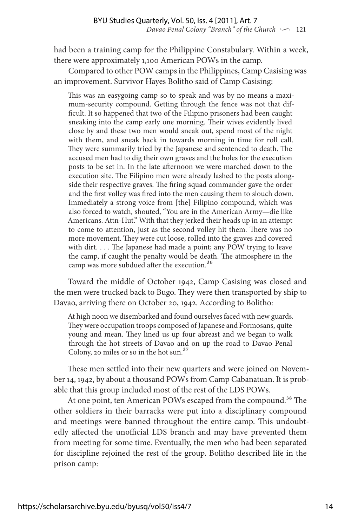had been a training camp for the Philippine Constabulary. Within a week, there were approximately 1,100 American POWs in the camp.

Compared to other POW camps in the Philippines, Camp Casising was an improvement. Survivor Hayes Bolitho said of Camp Casising:

This was an easygoing camp so to speak and was by no means a maximum-security compound. Getting through the fence was not that difficult. It so happened that two of the Filipino prisoners had been caught sneaking into the camp early one morning. Their wives evidently lived close by and these two men would sneak out, spend most of the night with them, and sneak back in towards morning in time for roll call. They were summarily tried by the Japanese and sentenced to death. The accused men had to dig their own graves and the holes for the execution posts to be set in. In the late afternoon we were marched down to the execution site. The Filipino men were already lashed to the posts alongside their respective graves. The firing squad commander gave the order and the first volley was fired into the men causing them to slouch down. Immediately a strong voice from [the] Filipino compound, which was also forced to watch, shouted, "You are in the American Army—die like Americans. Attn-Hut." With that they jerked their heads up in an attempt to come to attention, just as the second volley hit them. There was no more movement. They were cut loose, rolled into the graves and covered with dirt. . . . The Japanese had made a point; any POW trying to leave the camp, if caught the penalty would be death. The atmosphere in the camp was more subdued after the execution.<sup>36</sup>

Toward the middle of October 1942, Camp Casising was closed and the men were trucked back to Bugo. They were then transported by ship to Davao, arriving there on October 20, 1942. According to Bolitho:

At high noon we disembarked and found ourselves faced with new guards. They were occupation troops composed of Japanese and Formosans, quite young and mean. They lined us up four abreast and we began to walk through the hot streets of Davao and on up the road to Davao Penal Colony, 20 miles or so in the hot sun.37

These men settled into their new quarters and were joined on November 14, 1942, by about a thousand POWs from Camp Cabanatuan. It is probable that this group included most of the rest of the LDS POWs.

At one point, ten American POWs escaped from the compound.<sup>38</sup> The other soldiers in their barracks were put into a disciplinary compound and meetings were banned throughout the entire camp. This undoubtedly affected the unofficial LDS branch and may have prevented them from meeting for some time. Eventually, the men who had been separated for discipline rejoined the rest of the group. Bolitho described life in the prison camp: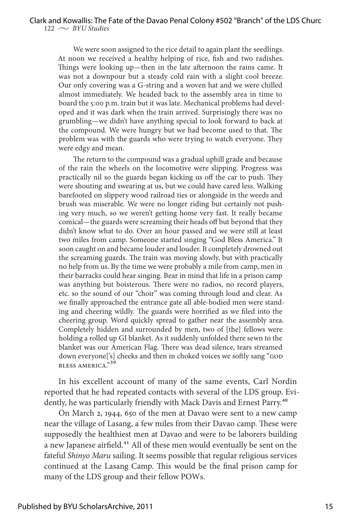We were soon assigned to the rice detail to again plant the seedlings. At noon we received a healthy helping of rice, fish and two radishes. Things were looking up—then in the late afternoon the rains came. It was not a downpour but a steady cold rain with a slight cool breeze. Our only covering was a G-string and a woven hat and we were chilled almost immediately. We headed back to the assembly area in time to board the 5:00 p.m. train but it was late. Mechanical problems had developed and it was dark when the train arrived. Surprisingly there was no grumbling—we didn't have anything special to look forward to back at the compound. We were hungry but we had become used to that. The problem was with the guards who were trying to watch everyone. They were edgy and mean.

The return to the compound was a gradual uphill grade and because of the rain the wheels on the locomotive were slipping. Progress was practically nil so the guards began kicking us off the car to push. They were shouting and swearing at us, but we could have cared less. Walking barefooted on slippery wood railroad ties or alongside in the weeds and brush was miserable. We were no longer riding but certainly not pushing very much, so we weren't getting home very fast. It really became comical—the guards were screaming their heads off but beyond that they didn't know what to do. Over an hour passed and we were still at least two miles from camp. Someone started singing "God Bless America." It soon caught on and became louder and louder. It completely drowned out the screaming guards. The train was moving slowly, but with practically no help from us. By the time we were probably a mile from camp, men in their barracks could hear singing. Bear in mind that life in a prison camp was anything but boisterous. There were no radios, no record players, etc. so the sound of our "choir" was coming through loud and clear. As we finally approached the entrance gate all able-bodied men were standing and cheering wildly. The guards were horrified as we filed into the cheering group. Word quickly spread to gather near the assembly area. Completely hidden and surrounded by men, two of [the] fellows were holding a rolled up GI blanket. As it suddenly unfolded there sewn to the blanket was our American Flag. There was dead silence, tears streamed down everyone['s] cheeks and then in choked voices we softly sang "GOD BLESS AMERICA."39

In his excellent account of many of the same events, Carl Nordin reported that he had repeated contacts with several of the LDS group. Evidently, he was particularly friendly with Mack Davis and Ernest Parry.<sup>40</sup>

On March 2, 1944, 650 of the men at Davao were sent to a new camp near the village of Lasang, a few miles from their Davao camp. These were supposedly the healthiest men at Davao and were to be laborers building a new Japanese airfield.<sup>41</sup> All of these men would eventually be sent on the fateful *Shinyo Maru* sailing. It seems possible that regular religious services continued at the Lasang Camp. This would be the final prison camp for many of the LDS group and their fellow POWs.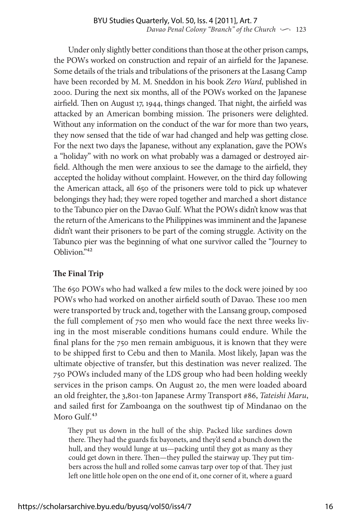Under only slightly better conditions than those at the other prison camps, the POWs worked on construction and repair of an airfield for the Japanese. Some details of the trials and tribulations of the prisoners at the Lasang Camp have been recorded by M. M. Sneddon in his book *Zero Ward*, published in 2000. During the next six months, all of the POWs worked on the Japanese airfield. Then on August 17, 1944, things changed. That night, the airfield was attacked by an American bombing mission. The prisoners were delighted. Without any information on the conduct of the war for more than two years, they now sensed that the tide of war had changed and help was getting close. For the next two days the Japanese, without any explanation, gave the POWs a "holiday" with no work on what probably was a damaged or destroyed airfield. Although the men were anxious to see the damage to the airfield, they accepted the holiday without complaint. However, on the third day following the American attack, all 650 of the prisoners were told to pick up whatever belongings they had; they were roped together and marched a short distance to the Tabunco pier on the Davao Gulf. What the POWs didn't know was that the return of the Americans to the Philippines was imminent and the Japanese didn't want their prisoners to be part of the coming struggle. Activity on the Tabunco pier was the beginning of what one survivor called the "Journey to Oblivion."42

## **The Final Trip**

The 650 POWs who had walked a few miles to the dock were joined by 100 POWs who had worked on another airfield south of Davao. These 100 men were transported by truck and, together with the Lansang group, composed the full complement of 750 men who would face the next three weeks living in the most miserable conditions humans could endure. While the final plans for the 750 men remain ambiguous, it is known that they were to be shipped first to Cebu and then to Manila. Most likely, Japan was the ultimate objective of transfer, but this destination was never realized. The 750 POWs included many of the LDS group who had been holding weekly services in the prison camps. On August 20, the men were loaded aboard an old freighter, the 3,801-ton Japanese Army Transport #86, *Tateishi Maru*, and sailed first for Zamboanga on the southwest tip of Mindanao on the Moro Gulf.<sup>43</sup>

They put us down in the hull of the ship. Packed like sardines down there. They had the guards fix bayonets, and they'd send a bunch down the hull, and they would lunge at us—packing until they got as many as they could get down in there. Then—they pulled the stairway up. They put timbers across the hull and rolled some canvas tarp over top of that. They just left one little hole open on the one end of it, one corner of it, where a guard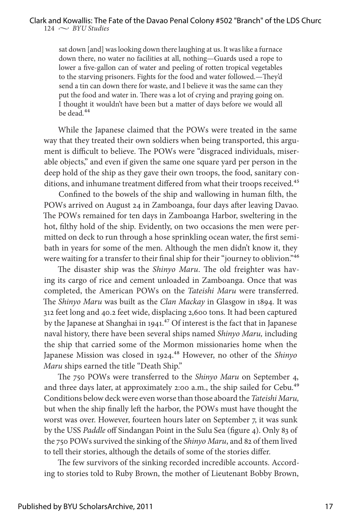sat down [and] was looking down there laughing at us. It was like a furnace down there, no water no facilities at all, nothing—Guards used a rope to lower a five-gallon can of water and peeling of rotten tropical vegetables to the starving prisoners. Fights for the food and water followed.—They'd send a tin can down there for waste, and I believe it was the same can they put the food and water in. There was a lot of crying and praying going on. I thought it wouldn't have been but a matter of days before we would all be dead*.*44

While the Japanese claimed that the POWs were treated in the same way that they treated their own soldiers when being transported, this argument is difficult to believe. The POWs were "disgraced individuals, miserable objects," and even if given the same one square yard per person in the deep hold of the ship as they gave their own troops, the food, sanitary conditions, and inhumane treatment differed from what their troops received.<sup>45</sup>

Confined to the bowels of the ship and wallowing in human filth, the POWs arrived on August 24 in Zamboanga, four days after leaving Davao. The POWs remained for ten days in Zamboanga Harbor, sweltering in the hot, filthy hold of the ship. Evidently, on two occasions the men were permitted on deck to run through a hose sprinkling ocean water, the first semibath in years for some of the men. Although the men didn't know it, they were waiting for a transfer to their final ship for their "journey to oblivion."<sup>46</sup>

The disaster ship was the *Shinyo Maru*. The old freighter was having its cargo of rice and cement unloaded in Zamboanga. Once that was completed, the American POWs on the *Tateishi Maru* were transferred. The *Shinyo Maru* was built as the *Clan Mackay* in Glasgow in 1894. It was 312 feet long and 40.2 feet wide, displacing 2,600 tons. It had been captured by the Japanese at Shanghai in 1941.<sup>47</sup> Of interest is the fact that in Japanese naval history, there have been several ships named *Shinyo Maru,* including the ship that carried some of the Mormon missionaries home when the Japanese Mission was closed in 1924.48 However, no other of the *Shinyo Maru* ships earned the title "Death Ship."

The 750 POWs were transferred to the *Shinyo Maru* on September 4, and three days later, at approximately 2:00 a.m., the ship sailed for Cebu.<sup>49</sup> Conditions below deck were even worse than those aboard the *Tateishi Maru,*  but when the ship finally left the harbor, the POWs must have thought the worst was over. However, fourteen hours later on September 7, it was sunk by the USS *Paddle* off Sindangan Point in the Sulu Sea (figure 4). Only 83 of the 750 POWs survived the sinking of the *Shinyo Maru*, and 82 of them lived to tell their stories, although the details of some of the stories differ.

The few survivors of the sinking recorded incredible accounts. According to stories told to Ruby Brown, the mother of Lieutenant Bobby Brown,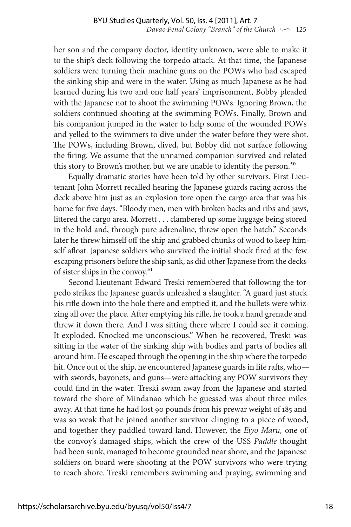her son and the company doctor, identity unknown, were able to make it to the ship's deck following the torpedo attack. At that time, the Japanese soldiers were turning their machine guns on the POWs who had escaped the sinking ship and were in the water. Using as much Japanese as he had learned during his two and one half years' imprisonment, Bobby pleaded with the Japanese not to shoot the swimming POWs. Ignoring Brown, the soldiers continued shooting at the swimming POWs. Finally, Brown and his companion jumped in the water to help some of the wounded POWs and yelled to the swimmers to dive under the water before they were shot. The POWs, including Brown, dived, but Bobby did not surface following the firing. We assume that the unnamed companion survived and related this story to Brown's mother, but we are unable to identify the person.<sup>50</sup>

Equally dramatic stories have been told by other survivors. First Lieutenant John Morrett recalled hearing the Japanese guards racing across the deck above him just as an explosion tore open the cargo area that was his home for five days. "Bloody men, men with broken backs and ribs and jaws, littered the cargo area. Morrett . . . clambered up some luggage being stored in the hold and, through pure adrenaline, threw open the hatch." Seconds later he threw himself off the ship and grabbed chunks of wood to keep himself afloat. Japanese soldiers who survived the initial shock fired at the few escaping prisoners before the ship sank, as did other Japanese from the decks of sister ships in the convoy.51

Second Lieutenant Edward Treski remembered that following the torpedo strikes the Japanese guards unleashed a slaughter. "A guard just stuck his rifle down into the hole there and emptied it, and the bullets were whizzing all over the place. After emptying his rifle, he took a hand grenade and threw it down there. And I was sitting there where I could see it coming. It exploded. Knocked me unconscious." When he recovered, Treski was sitting in the water of the sinking ship with bodies and parts of bodies all around him. He escaped through the opening in the ship where the torpedo hit. Once out of the ship, he encountered Japanese guards in life rafts, who with swords, bayonets, and guns—were attacking any POW survivors they could find in the water. Treski swam away from the Japanese and started toward the shore of Mindanao which he guessed was about three miles away. At that time he had lost 90 pounds from his prewar weight of 185 and was so weak that he joined another survivor clinging to a piece of wood, and together they paddled toward land. However, the *Eiyo Maru,* one of the convoy's damaged ships, which the crew of the USS *Paddle* thought had been sunk, managed to become grounded near shore, and the Japanese soldiers on board were shooting at the POW survivors who were trying to reach shore. Treski remembers swimming and praying, swimming and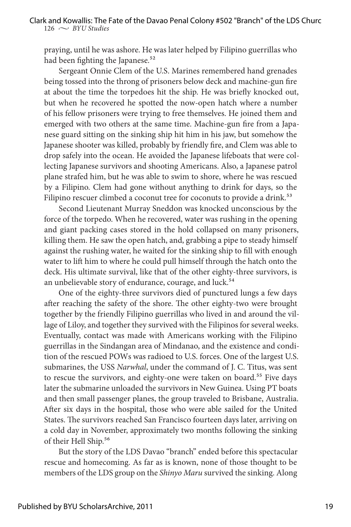praying, until he was ashore. He was later helped by Filipino guerrillas who had been fighting the Japanese.<sup>52</sup>

Sergeant Onnie Clem of the U.S. Marines remembered hand grenades being tossed into the throng of prisoners below deck and machine-gun fire at about the time the torpedoes hit the ship. He was briefly knocked out, but when he recovered he spotted the now-open hatch where a number of his fellow prisoners were trying to free themselves. He joined them and emerged with two others at the same time. Machine-gun fire from a Japanese guard sitting on the sinking ship hit him in his jaw, but somehow the Japanese shooter was killed, probably by friendly fire, and Clem was able to drop safely into the ocean. He avoided the Japanese lifeboats that were collecting Japanese survivors and shooting Americans. Also, a Japanese patrol plane strafed him, but he was able to swim to shore, where he was rescued by a Filipino. Clem had gone without anything to drink for days, so the Filipino rescuer climbed a coconut tree for coconuts to provide a drink.<sup>53</sup>

Second Lieutenant Murray Sneddon was knocked unconscious by the force of the torpedo. When he recovered, water was rushing in the opening and giant packing cases stored in the hold collapsed on many prisoners, killing them. He saw the open hatch, and, grabbing a pipe to steady himself against the rushing water, he waited for the sinking ship to fill with enough water to lift him to where he could pull himself through the hatch onto the deck. His ultimate survival, like that of the other eighty-three survivors, is an unbelievable story of endurance, courage, and luck.<sup>54</sup>

One of the eighty-three survivors died of punctured lungs a few days after reaching the safety of the shore. The other eighty-two were brought together by the friendly Filipino guerrillas who lived in and around the village of Liloy, and together they survived with the Filipinos for several weeks. Eventually, contact was made with Americans working with the Filipino guerrillas in the Sindangan area of Mindanao, and the existence and condition of the rescued POWs was radioed to U.S. forces. One of the largest U.S. submarines, the USS *Narwhal*, under the command of J. C. Titus, was sent to rescue the survivors, and eighty-one were taken on board.<sup>55</sup> Five days later the submarine unloaded the survivors in New Guinea. Using PT boats and then small passenger planes, the group traveled to Brisbane, Australia. After six days in the hospital, those who were able sailed for the United States. The survivors reached San Francisco fourteen days later, arriving on a cold day in November, approximately two months following the sinking of their Hell Ship.<sup>56</sup>

But the story of the LDS Davao "branch" ended before this spectacular rescue and homecoming. As far as is known, none of those thought to be members of the LDS group on the *Shinyo Maru* survived the sinking. Along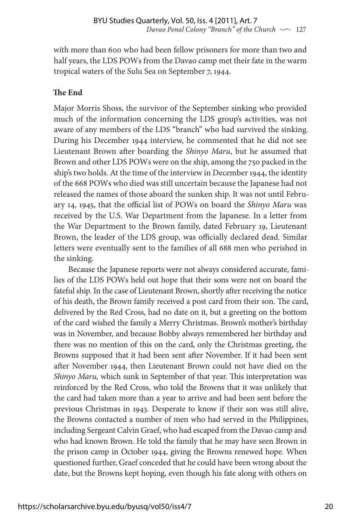with more than 600 who had been fellow prisoners for more than two and half years, the LDS POWs from the Davao camp met their fate in the warm tropical waters of the Sulu Sea on September 7, 1944.

## **The End**

Major Morris Shoss, the survivor of the September sinking who provided much of the information concerning the LDS group's activities, was not aware of any members of the LDS "branch" who had survived the sinking. During his December 1944 interview, he commented that he did not see Lieutenant Brown after boarding the *Shinyo Maru*, but he assumed that Brown and other LDS POWs were on the ship, among the 750 packed in the ship's two holds. At the time of the interview in December 1944, the identity of the 668 POWs who died was still uncertain because the Japanese had not released the names of those aboard the sunken ship. It was not until February 14, 1945, that the official list of POWs on board the *Shinyo Maru* was received by the U.S. War Department from the Japanese. In a letter from the War Department to the Brown family, dated February 19, Lieutenant Brown, the leader of the LDS group, was officially declared dead. Similar letters were eventually sent to the families of all 688 men who perished in the sinking.

Because the Japanese reports were not always considered accurate, families of the LDS POWs held out hope that their sons were not on board the fateful ship. In the case of Lieutenant Brown, shortly after receiving the notice of his death, the Brown family received a post card from their son. The card, delivered by the Red Cross, had no date on it, but a greeting on the bottom of the card wished the family a Merry Christmas. Brown's mother's birthday was in November, and because Bobby always remembered her birthday and there was no mention of this on the card, only the Christmas greeting, the Browns supposed that it had been sent after November. If it had been sent after November 1944, then Lieutenant Brown could not have died on the *Shinyo Maru,* which sunk in September of that year. This interpretation was reinforced by the Red Cross, who told the Browns that it was unlikely that the card had taken more than a year to arrive and had been sent before the previous Christmas in 1943. Desperate to know if their son was still alive, the Browns contacted a number of men who had served in the Philippines, including Sergeant Calvin Graef, who had escaped from the Davao camp and who had known Brown. He told the family that he may have seen Brown in the prison camp in October 1944, giving the Browns renewed hope. When questioned further, Graef conceded that he could have been wrong about the date, but the Browns kept hoping, even though his fate along with others on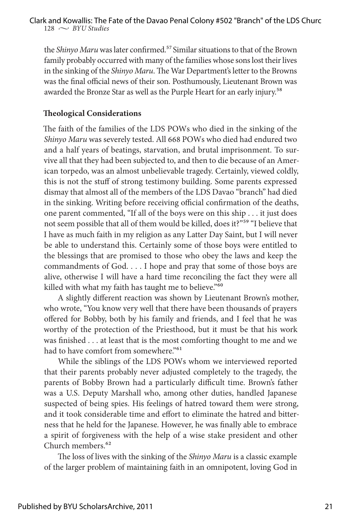the *Shinyo Maru* was later confirmed.<sup>57</sup> Similar situations to that of the Brown family probably occurred with many of the families whose sons lost their lives in the sinking of the *Shinyo Maru*. The War Department's letter to the Browns was the final official news of their son. Posthumously, Lieutenant Brown was awarded the Bronze Star as well as the Purple Heart for an early injury.<sup>58</sup>

#### **Theological Considerations**

The faith of the families of the LDS POWs who died in the sinking of the *Shinyo Maru* was severely tested. All 668 POWs who died had endured two and a half years of beatings, starvation, and brutal imprisonment. To survive all that they had been subjected to, and then to die because of an American torpedo, was an almost unbelievable tragedy. Certainly, viewed coldly, this is not the stuff of strong testimony building. Some parents expressed dismay that almost all of the members of the LDS Davao "branch" had died in the sinking. Writing before receiving official confirmation of the deaths, one parent commented, "If all of the boys were on this ship . . . it just does not seem possible that all of them would be killed, does it?"59 "I believe that I have as much faith in my religion as any Latter Day Saint, but I will never be able to understand this. Certainly some of those boys were entitled to the blessings that are promised to those who obey the laws and keep the commandments of God. . . . I hope and pray that some of those boys are alive, otherwise I will have a hard time reconciling the fact they were all killed with what my faith has taught me to believe."<sup>60</sup>

A slightly different reaction was shown by Lieutenant Brown's mother, who wrote, "You know very well that there have been thousands of prayers offered for Bobby, both by his family and friends, and I feel that he was worthy of the protection of the Priesthood, but it must be that his work was finished . . . at least that is the most comforting thought to me and we had to have comfort from somewhere."<sup>61</sup>

While the siblings of the LDS POWs whom we interviewed reported that their parents probably never adjusted completely to the tragedy, the parents of Bobby Brown had a particularly difficult time. Brown's father was a U.S. Deputy Marshall who, among other duties, handled Japanese suspected of being spies. His feelings of hatred toward them were strong, and it took considerable time and effort to eliminate the hatred and bitterness that he held for the Japanese. However, he was finally able to embrace a spirit of forgiveness with the help of a wise stake president and other Church members.62

The loss of lives with the sinking of the *Shinyo Maru* is a classic example of the larger problem of maintaining faith in an omnipotent, loving God in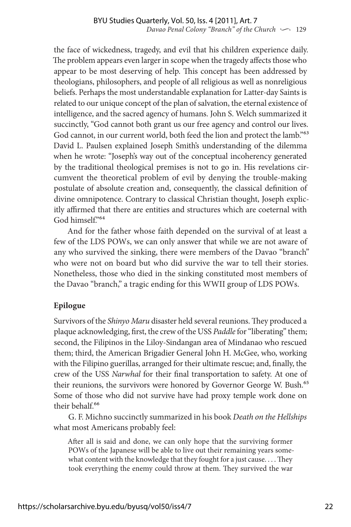the face of wickedness, tragedy, and evil that his children experience daily. The problem appears even larger in scope when the tragedy affects those who appear to be most deserving of help. This concept has been addressed by theologians, philosophers, and people of all religious as well as nonreligious beliefs. Perhaps the most understandable explanation for Latter-day Saints is related to our unique concept of the plan of salvation, the eternal existence of intelligence, and the sacred agency of humans. John S. Welch summarized it succinctly, "God cannot both grant us our free agency and control our lives. God cannot, in our current world, both feed the lion and protect the lamb."<sup>63</sup> David L. Paulsen explained Joseph Smith's understanding of the dilemma when he wrote: "Joseph's way out of the conceptual incoherency generated by the traditional theological premises is not to go in. His revelations circumvent the theoretical problem of evil by denying the trouble-making postulate of absolute creation and, consequently, the classical definition of divine omnipotence. Contrary to classical Christian thought, Joseph explicitly affirmed that there are entities and structures which are coeternal with God himself."64

And for the father whose faith depended on the survival of at least a few of the LDS POWs, we can only answer that while we are not aware of any who survived the sinking, there were members of the Davao "branch" who were not on board but who did survive the war to tell their stories. Nonetheless, those who died in the sinking constituted most members of the Davao "branch," a tragic ending for this WWII group of LDS POWs.

## **Epilogue**

Survivors of the *Shinyo Maru* disaster held several reunions. They produced a plaque acknowledging, first, the crew of the USS *Paddle* for "liberating" them; second, the Filipinos in the Liloy-Sindangan area of Mindanao who rescued them; third, the American Brigadier General John H. McGee, who, working with the Filipino guerillas, arranged for their ultimate rescue; and, finally, the crew of the USS *Narwhal* for their final transportation to safety. At one of their reunions, the survivors were honored by Governor George W. Bush.<sup>65</sup> Some of those who did not survive have had proxy temple work done on their behalf.<sup>66</sup>

G. F. Michno succinctly summarized in his book *Death on the Hellships* what most Americans probably feel:

After all is said and done, we can only hope that the surviving former POWs of the Japanese will be able to live out their remaining years somewhat content with the knowledge that they fought for a just cause. . . . They took everything the enemy could throw at them. They survived the war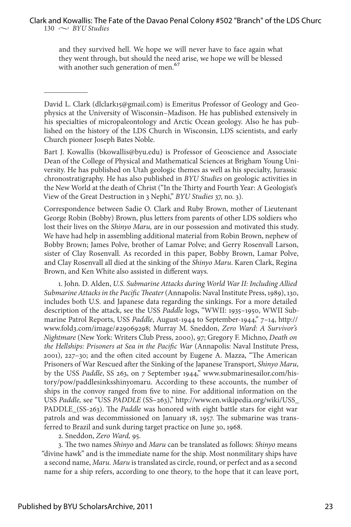and they survived hell. We hope we will never have to face again what they went through, but should the need arise, we hope we will be blessed with another such generation of men.<sup>67</sup>

David L. Clark (dlclark15@gmail.com) is Emeritus Professor of Geology and Geophysics at the University of Wisconsin–Madison. He has published extensively in his specialties of micropaleontology and Arctic Ocean geology. Also he has published on the history of the LDS Church in Wisconsin, LDS scientists, and early Church pioneer Joseph Bates Noble.

Bart J. Kowallis (bkowallis@byu.edu) is Professor of Geoscience and Associate Dean of the College of Physical and Mathematical Sciences at Brigham Young University. He has published on Utah geologic themes as well as his specialty, Jurassic chronostratigraphy. He has also published in *BYU Studies* on geologic activities in the New World at the death of Christ ("In the Thirty and Fourth Year: A Geologist's View of the Great Destruction in 3 Nephi," *BYU Studies* 37, no. 3).

Correspondence between Sadie O. Clark and Ruby Brown, mother of Lieutenant George Robin (Bobby) Brown, plus letters from parents of other LDS soldiers who lost their lives on the *Shinyo Maru,* are in our possession and motivated this study. We have had help in assembling additional material from Robin Brown, nephew of Bobby Brown; James Polve, brother of Lamar Polve; and Gerry Rosenvall Larson, sister of Clay Rosenvall. As recorded in this paper, Bobby Brown, Lamar Polve, and Clay Rosenvall all died at the sinking of the *Shinyo Maru*. Karen Clark, Regina Brown, and Ken White also assisted in different ways.

1. John. D. Alden, *U.S. Submarine Attacks during World War II: Including Allied Submarine Attacks in the Pacific Theater* (Annapolis: Naval Institute Press, 1989), 130, includes both U.S. and Japanese data regarding the sinkings. For a more detailed description of the attack, see the USS *Paddle* logs, "WWII: 1935–1950, WWII Submarine Patrol Reports, USS *Paddle*, August-1944 to September-1944," 7–14, http:// www.fold3.com/image/#29069298; Murray M. Sneddon, *Zero Ward: A Survivor's Nightmare* (New York: Writers Club Press, 2000), 97; Gregory F. Michno, *Death on the Hellships: Prisoners at Sea in the Pacific War* (Annapolis: Naval Institute Press, 2001), 227–30; and the often cited account by Eugene A. Mazza, "The American Prisoners of War Rescued after the Sinking of the Japanese Transport, *Shinyo Maru*, by the USS *Paddle*, SS 263, on 7 September 1944," www.submarinesailor.com/history/pow/paddlesinksshinyomaru. According to these accounts, the number of ships in the convoy ranged from five to nine. For additional information on the USS *Paddle,* see "USS *PADDLE* (SS–263)," http://www.en.wikipedia.org/wiki/USS\_ PADDLE\_(SS-263). The *Paddle* was honored with eight battle stars for eight war patrols and was decommissioned on January 18, 1957. The submarine was transferred to Brazil and sunk during target practice on June 30, 1968.

2. Sneddon, *Zero Ward,* 95.

3. The two names *Shinyo* and *Maru* can be translated as follows: *Shinyo* means "divine hawk" and is the immediate name for the ship. Most nonmilitary ships have a second name, *Maru. Maru* is translated as circle, round, or perfect and as a second name for a ship refers, according to one theory, to the hope that it can leave port,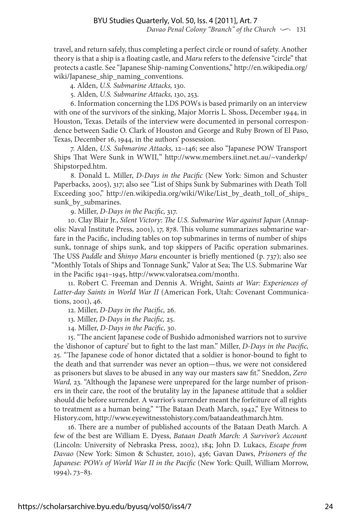travel, and return safely, thus completing a perfect circle or round of safety. Another theory is that a ship is a floating castle, and *Maru* refers to the defensive "circle" that protects a castle. See "Japanese Ship-naming Conventions," http://en.wikipedia.org/ wiki/Japanese\_ship\_naming\_conventions.

4. Alden, *U.S. Submarine Attacks,* 130.

5. Alden, *U.S. Submarine Attacks,* 130, 253.

6. Information concerning the LDS POWs is based primarily on an interview with one of the survivors of the sinking, Major Morris L. Shoss, December 1944, in Houston, Texas. Details of the interview were documented in personal correspondence between Sadie O. Clark of Houston and George and Ruby Brown of El Paso, Texas, December 16, 1944, in the authors' possession.

7. Alden, *U.S. Submarine Attacks,* 12–146; see also "Japanese POW Transport Ships That Were Sunk in WWII*,*" http://www.members.iinet.net.au/~vanderkp/ Shipstorped.htm.

8. Donald L. Miller, *D-Days in the Pacific* (New York: Simon and Schuster Paperbacks, 2005), 317; also see "List of Ships Sunk by Submarines with Death Toll Exceeding 300," http://en.wikipedia.org/wiki/Wike/List\_by\_death\_toll\_of\_ships\_ sunk by submarines.

9. Miller, *D-Days in the Pacific,* 317.

10. Clay Blair Jr., *Silent Victory: The U.S. Submarine War against Japan* (Annapolis: Naval Institute Press, 2001), 17, 878. This volume summarizes submarine warfare in the Pacific, including tables on top submarines in terms of number of ships sunk, tonnage of ships sunk, and top skippers of Pacific operation submarines. The USS *Paddle* and *Shinyo Maru* encounter is briefly mentioned (p. 737); also see "Monthly Totals of Ships and Tonnage Sunk," Valor at Sea; The U.S. Submarine War in the Pacific 1941–1945, http://www.valoratsea.com/month1.

11. Robert C. Freeman and Dennis A. Wright, *Saints at War: Experiences of Latter-day Saints in World War II* (American Fork, Utah: Covenant Communications, 2001), 46.

12. Miller, *D-Days in the Pacific,* 26.

13. Miller, *D-Days in the Pacific,* 25.

14. Miller, *D-Days in the Pacific,* 30.

15. "The ancient Japanese code of Bushido admonished warriors not to survive the 'dishonor of capture' but to fight to the last man." Miller, *D-Days in the Pacific,* 25. "The Japanese code of honor dictated that a soldier is honor-bound to fight to the death and that surrender was never an option—thus, we were not considered as prisoners but slaves to be abused in any way our masters saw fit." Sneddon, *Zero Ward,* 23. "Although the Japanese were unprepared for the large number of prisoners in their care, the root of the brutality lay in the Japanese attitude that a soldier should die before surrender. A warrior's surrender meant the forfeiture of all rights to treatment as a human being." "The Bataan Death March, 1942," Eye Witness to History.com, http://www.eyewitnesstohistory.com/bataandeathmarch.htm.

16. There are a number of published accounts of the Bataan Death March. A few of the best are William E. Dyess, *Bataan Death March: A Survivor's Account*  (Lincoln: University of Nebraska Press, 2002), 184; John D*.* Lukacs, *Escape from Davao* (New York: Simon & Schuster, 2010), 436; Gavan Daws, *Prisoners of the Japanese: POWs of World War II in the Pacific* (New York: Quill, William Morrow, 1994), 73–83.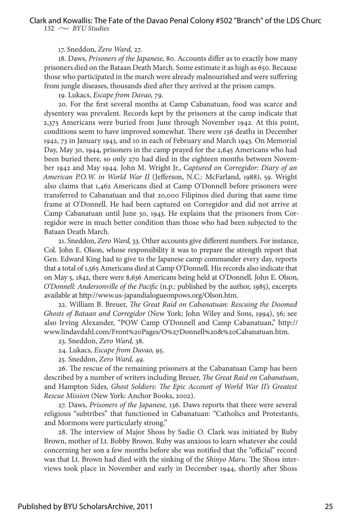132  $\sim$  BYU Studies

#### 17. Sneddon, *Zero Ward,* 27.

18. Daws, *Prisoners of the Japanese,* 80. Accounts differ as to exactly how many prisoners died on the Bataan Death March. Some estimate it as high as 650. Because those who participated in the march were already malnourished and were suffering from jungle diseases, thousands died after they arrived at the prison camps.

19. Lukacs, *Escape from Davao,* 79.

20. For the first several months at Camp Cabanatuan, food was scarce and dysentery was prevalent. Records kept by the prisoners at the camp indicate that 2,375 Americans were buried from June through November 1942. At this point, conditions seem to have improved somewhat. There were 136 deaths in December 1942, 73 in January 1943, and 10 in each of February and March 1943. On Memorial Day, May 30, 1944, prisoners in the camp prayed for the 2,645 Americans who had been buried there, so only 270 had died in the eighteen months between November 1942 and May 1944. John M. Wright Jr., *Captured on Corregidor: Diary of an American P.O.W. in World War II* (Jefferson, N.C.: McFarland, 1988), 59. Wright also claims that 1,462 Americans died at Camp O'Donnell before prisoners were transferred to Cabanatuan and that 20,000 Filipinos died during that same time frame at O'Donnell. He had been captured on Corregidor and did not arrive at Camp Cabanatuan until June 30, 1943. He explains that the prisoners from Corregidor were in much better condition than those who had been subjected to the Bataan Death March.

21. Sneddon, *Zero Ward,* 33. Other accounts give different numbers. For instance, Col. John E. Olson, whose responsibility it was to prepare the strength report that Gen. Edward King had to give to the Japanese camp commander every day, reports that a total of 1,565 Americans died at Camp O'Donnell. His records also indicate that on May 5, 1842, there were 8,636 Americans being held at O'Donnell. John E. Olson, *O'Donnell: Andersonville of the Pacific* (n.p.: published by the author, 1985), excerpts available at http://www.us-japandialogueonpows.org/Olson.htm.

22. William B. Breuer, *The Great Raid on Cabanatuan: Rescuing the Doomed Ghosts of Bataan and Corregidor* (New York: John Wiley and Sons, 1994), 56; see also Irving Alexander, "POW Camp O'Donnell and Camp Cabanatuan," http:// www.lindavdahl.com/Front%20Pages/O%27Donnell%20&%20Cabanatuan.htm.

23. Sneddon, *Zero Ward,* 38.

24. Lukacs, *Escape from Davao,* 95.

25. Sneddon, *Zero Ward,* 49.

26. The rescue of the remaining prisoners at the Cabanatuan Camp has been described by a number of writers including Breuer, *The Great Raid on Cabanatuan*, and Hampton Sides, *Ghost Soldiers: The Epic Account of World War II's Greatest Rescue Mission* (New York: Anchor Books, 2002).

27. Daws, *Prisoners of the Japanese,* 136. Daws reports that there were several religious "subtribes" that functioned in Cabanatuan: "Catholics and Protestants, and Mormons were particularly strong."

28. The interview of Major Shoss by Sadie O. Clark was initiated by Ruby Brown, mother of Lt. Bobby Brown. Ruby was anxious to learn whatever she could concerning her son a few months before she was notified that the "official" record was that Lt. Brown had died with the sinking of the *Shinyo Maru*. The Shoss interviews took place in November and early in December 1944, shortly after Shoss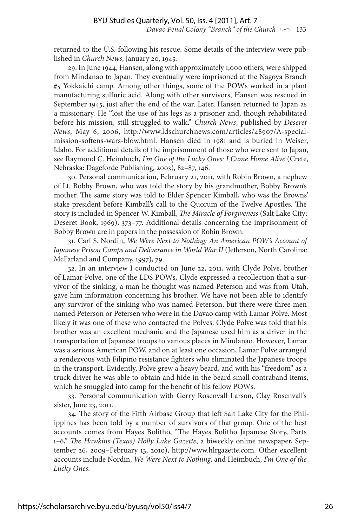returned to the U.S. following his rescue. Some details of the interview were published in *Church News*, January 20, 1945.

29. In June 1944, Hansen, along with approximately 1,000 others, were shipped from Mindanao to Japan. They eventually were imprisoned at the Nagoya Branch #5 Yokkaichi camp. Among other things, some of the POWs worked in a plant manufacturing sulfuric acid. Along with other survivors, Hansen was rescued in September 1945, just after the end of the war. Later, Hansen returned to Japan as a missionary. He "lost the use of his legs as a prisoner and, though rehabilitated before his mission, still struggled to walk." *Church News*, published by *Deseret News*, May 6, 2006, http://www.ldschurchnews.com/articles/48907/A-specialmission-softens-wars-blow.html. Hansen died in 1981 and is buried in Weiser, Idaho. For additional details of the imprisonment of those who were sent to Japan, see Raymond C. Heimbuch, *I'm One of the Lucky Ones: I Came Home Alive* (Crete, Nebraska: Dageforde Publishing, 2003), 82–87, 146.

30. Personal communication, February 21, 2011, with Robin Brown, a nephew of Lt. Bobby Brown, who was told the story by his grandmother, Bobby Brown's mother. The same story was told to Elder Spencer Kimball, who was the Browns' stake president before Kimball's call to the Quorum of the Twelve Apostles. The story is included in Spencer W. Kimball, *The Miracle of Forgiveness* (Salt Lake City: Deseret Book, 1969), 373–77. Additional details concerning the imprisonment of Bobby Brown are in papers in the possession of Robin Brown.

31. Carl S. Nordin, *We Were Next to Nothing: An American POW's Account of*  Japanese Prison Camps and Deliverance in World War II (Jefferson, North Carolina: McFarland and Company, 1997), 79.

32. In an interview I conducted on June 22, 2011, with Clyde Polve, brother of Lamar Polve, one of the LDS POWs, Clyde expressed a recollection that a survivor of the sinking, a man he thought was named Peterson and was from Utah, gave him information concerning his brother. We have not been able to identify any survivor of the sinking who was named Peterson, but there were three men named Peterson or Petersen who were in the Davao camp with Lamar Polve. Most likely it was one of these who contacted the Polves. Clyde Polve was told that his brother was an excellent mechanic and the Japanese used him as a driver in the transportation of Japanese troops to various places in Mindanao. However, Lamar was a serious American POW, and on at least one occasion, Lamar Polve arranged a rendezvous with Filipino resistance fighters who eliminated the Japanese troops in the transport. Evidently, Polve grew a heavy beard, and with his "freedom" as a truck driver he was able to obtain and hide in the beard small contraband items, which he smuggled into camp for the benefit of his fellow POWs.

33. Personal communication with Gerry Rosenvall Larson, Clay Rosenvall's sister, June 23, 2011.

34. The story of the Fifth Airbase Group that left Salt Lake City for the Philippines has been told by a number of survivors of that group. One of the best accounts comes from Hayes Bolitho, "The Hayes Bolitho Japanese Story, Parts 1–6," *The Hawkins (Texas) Holly Lake Gazette*, a biweekly online newspaper, September 26, 2009–February 13, 2010), http://www.hlrgazette.com*.* Other excellent accounts include Nordin, *We Were Next to Nothing*, and Heimbuch, *I'm One of the Lucky Ones*.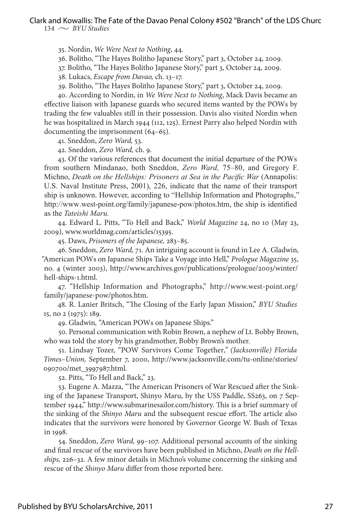$134 \sim$  *BYU Studies* 

35. Nordin, *We Were Next to Nothing*, 44.

36. Bolitho, "The Hayes Bolitho Japanese Story," part 3, October 24, 2009.

37. Bolitho, "The Hayes Bolitho Japanese Story," part 3, October 24, 2009.

38. Lukacs, *Escape from Davao,* ch. 13–17.

39. Bolitho, "The Hayes Bolitho Japanese Story," part 3, October 24, 2009.

40. According to Nordin, in *We Were Next to Nothing*, Mack Davis became an effective liaison with Japanese guards who secured items wanted by the POWs by trading the few valuables still in their possession. Davis also visited Nordin when he was hospitalized in March 1944 (112, 125). Ernest Parry also helped Nordin with documenting the imprisonment (64–65).

41. Sneddon, *Zero Ward,* 53.

42. Sneddon, *Zero Ward,* ch. 9.

43. Of the various references that document the initial departure of the POWs from southern Mindanao, both Sneddon, *Zero Ward,* 75–80, and Gregory F. Michno, *Death on the Hellships: Prisoners at Sea in the Pacific War* (Annapolis: U.S. Naval Institute Press, 2001), 226, indicate that the name of their transport ship is unknown. However, according to "Hellship Information and Photographs," http://www.west-point.org/family/japanese-pow/photos.htm, the ship is identified as the *Tateishi Maru.*

44. Edward L. Pitts, "To Hell and Back," *World Magazine* 24, no 10 (May 23, 2009), www.worldmag.com/articles/15395.

45. Daws, *Prisoners of the Japanese,* 283–85.

46. Sneddon, *Zero Ward,* 71. An intriguing account is found in Lee A. Gladwin*,*  "American POWs on Japanese Ships Take a Voyage into Hell," *Prologue Magazine* 35, no. 4 (winter 2003), http://www.archives.gov/publications/prologue/2003/winter/ hell-ships-1.html.

47. "Hellship Information and Photographs," http://www.west-point.org/ family/japanese-pow/photos.htm.

48. R. Lanier Britsch, "The Closing of the Early Japan Mission," *BYU Studies* 15, no 2 (1975): 189.

49. Gladwin*,* "American POWs on Japanese Ships."

50. Personal communication with Robin Brown, a nephew of Lt. Bobby Brown, who was told the story by his grandmother, Bobby Brown's mother.

51. Lindsay Tozer, "POW Survivors Come Together*," (Jacksonville) Florida Times–Union,* September 7, 2000, http://www.jacksonville.com/tu-online/stories/ 090700/met\_3997987.html*.*

52. Pitts, "To Hell and Back," 23.

53. Eugene A. Mazza, "The American Prisoners of War Rescued after the Sinking of the Japanese Transport, Shinyo Maru, by the USS Paddle, SS263, on 7 September 1944," http://www.submarinesailor.com/history. This is a brief summary of the sinking of the *Shinyo Maru* and the subsequent rescue effort. The article also indicates that the survivors were honored by Governor George W. Bush of Texas in 1998.

54. Sneddon, *Zero Ward,* 99–107. Additional personal accounts of the sinking and final rescue of the survivors have been published in Michno, *Death on the Hellships,* 226–32. A few minor details in Michno's volume concerning the sinking and rescue of the *Shinyo Maru* differ from those reported here.